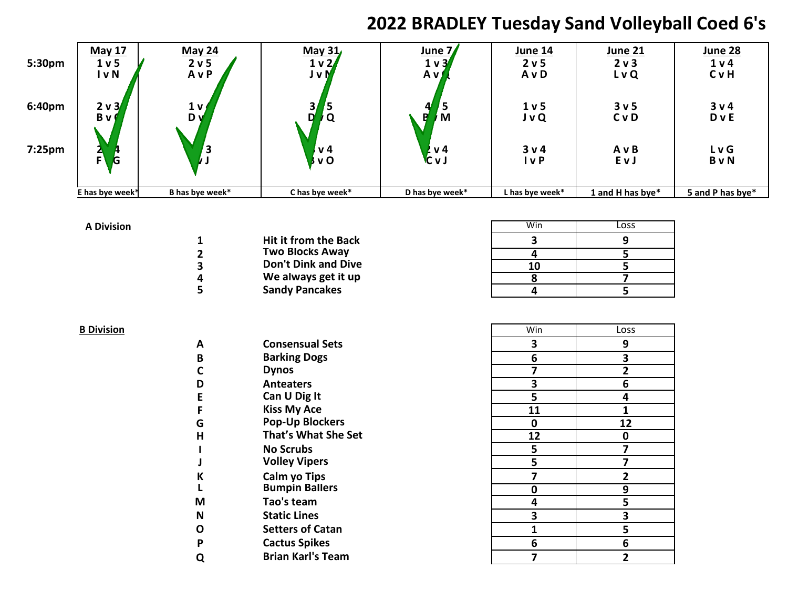### **2022 BRADLEY Tuesday Sand Volleyball Coed 6's**

| 5:30pm    | <b>May 17</b><br>1 <sub>v</sub><br>I v N | <b>May 24</b><br>2 v 5<br>AvP | May 31<br>1 v 2/<br>J v M              | June 7<br>$1 \vee 3$<br>A v / | <b>June 14</b><br>2 v 5<br>A v D | <b>June 21</b><br>2 v 3<br><b>LvQ</b> | <b>June 28</b><br>1 <sub>v</sub><br><b>C</b> v H |
|-----------|------------------------------------------|-------------------------------|----------------------------------------|-------------------------------|----------------------------------|---------------------------------------|--------------------------------------------------|
| 6:40pm    | $2 \vee 3$<br>Bv                         | 1 <sub>v</sub><br>D v         | 31<br>'5<br>D<br>/ Q                   | Δ<br>M<br>R                   | 1 <sub>v</sub><br><b>JvQ</b>     | 3 <sub>v</sub><br>CvD                 | 3 v 4<br><b>D</b> v E                            |
| $7:25$ pm | Δ<br>F<br>G                              | 3                             | <b>v</b> 4<br>$\boldsymbol{\beta}$ v O | 2 <sub>v</sub><br><b>C</b> vJ | 3 v 4<br>I v P                   | AvB<br>EvJ                            | <b>LvG</b><br><b>B</b> v N                       |
|           | E has bye week*                          | B has bye week*               | C has bye week*                        | D has bye week*               | L has bye week*                  | 1 and H has bye*                      | 5 and P has bye*                                 |

| A Division |                             | Win | Loss |
|------------|-----------------------------|-----|------|
|            | <b>Hit it from the Back</b> |     |      |
|            | <b>Two Blocks Away</b>      |     |      |
|            | <b>Don't Dink and Dive</b>  | 10  |      |
|            | We always get it up         |     |      |
|            | <b>Sandy Pancakes</b>       |     |      |

|   |                          | Win | LOS.             |
|---|--------------------------|-----|------------------|
| A | <b>Consensual Sets</b>   | 3   | 9                |
| B | <b>Barking Dogs</b>      | 6   | 3                |
|   | <b>Dynos</b>             | 7   | $\overline{2}$   |
| D | <b>Anteaters</b>         | 3   | 6                |
| Е | Can U Dig It             | 5   | 4                |
| F | <b>Kiss My Ace</b>       | 11  | 1                |
| G | <b>Pop-Up Blockers</b>   | 0   | 12               |
| н | That's What She Set      | 12  | $\boldsymbol{0}$ |
|   | <b>No Scrubs</b>         | 5   | 7                |
|   | <b>Volley Vipers</b>     | 5   | 7                |
| К | Calm yo Tips             | 7   | $\mathbf{2}$     |
|   | <b>Bumpin Ballers</b>    | 0   | <u>9</u>         |
| M | Tao's team               | 4   | 5                |
| N | <b>Static Lines</b>      | 3   | 3                |
| O | <b>Setters of Catan</b>  | 1   | 5                |
| P | <b>Cactus Spikes</b>     | 6   | 6                |
|   | <b>Brian Karl's Team</b> | 7   | $\overline{2}$   |

| <b>B Division</b> |   |                          | Win | Loss                    |
|-------------------|---|--------------------------|-----|-------------------------|
|                   | A | <b>Consensual Sets</b>   | 3   | 9                       |
|                   | B | <b>Barking Dogs</b>      | 6   | 3                       |
|                   | С | <b>Dynos</b>             |     | $\overline{2}$          |
|                   | D | <b>Anteaters</b>         |     | 6                       |
|                   |   | Can U Dig It             |     | 4                       |
|                   |   | <b>Kiss My Ace</b>       | 11  |                         |
|                   | G | <b>Pop-Up Blockers</b>   | 0   | 12                      |
|                   | Н | That's What She Set      | 12  | 0                       |
|                   |   | <b>No Scrubs</b>         | 5   |                         |
|                   |   | <b>Volley Vipers</b>     | 5   |                         |
|                   | К | Calm yo Tips             |     | 2                       |
|                   |   | <b>Bumpin Ballers</b>    | 0   | 9                       |
|                   | M | Tao's team               | 4   | 5                       |
|                   | N | <b>Static Lines</b>      | 3   | $\overline{\mathbf{3}}$ |
|                   | 0 | <b>Setters of Catan</b>  |     | 5                       |
|                   | P | <b>Cactus Spikes</b>     | 6   | 6                       |
|                   | Q | <b>Brian Karl's Team</b> |     | $\overline{2}$          |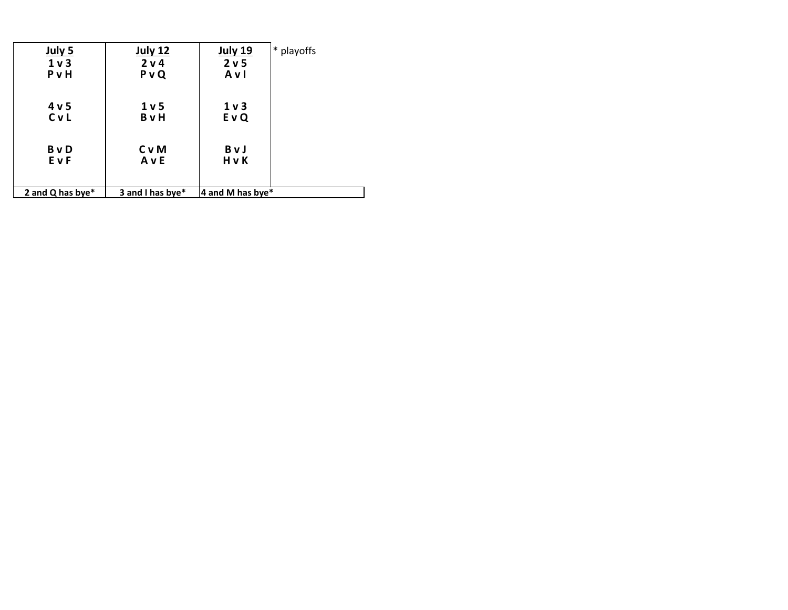| July 5           | <b>July 12</b>   | <b>July 19</b>   | * playoffs |
|------------------|------------------|------------------|------------|
| 1 <sub>v</sub>   | 2 v 4            | 2 v 5            |            |
| <b>P</b> v H     | PvQ              | Avl              |            |
| 4 v 5            | 1 <sub>v</sub>   | 1 <sub>v</sub>   |            |
| CvL              | <b>B</b> v H     | <b>EvQ</b>       |            |
| <b>B</b> v D     | C v M            | BvJ              |            |
| EvF              | AvE              | HvK              |            |
| 2 and Q has bye* | 3 and I has bye* | 4 and M has bye* |            |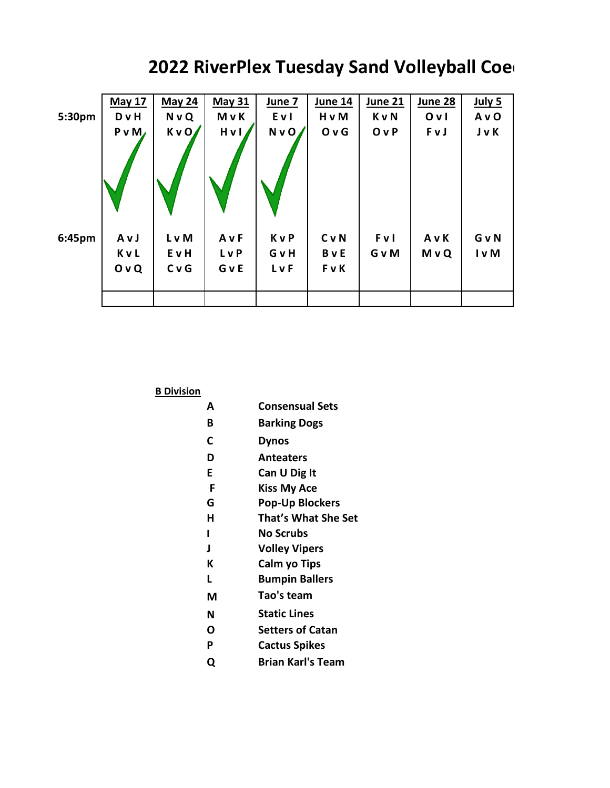|        | <b>May 17</b>    | <b>May 24</b> | <b>May 31</b> | June 7     | <b>June 14</b> | <b>June 21</b> | <b>June 28</b> | July 5       |
|--------|------------------|---------------|---------------|------------|----------------|----------------|----------------|--------------|
| 5:30pm | <b>D</b> v H     | <b>NvQ</b>    | <b>M</b> v K  | E v I      | <b>H</b> v M   | <b>KvN</b>     | OVI            | A v O        |
|        | P V M            | KvO           | Hvl           | NvO/       | O <sub>V</sub> | <b>O</b> v P   | FvJ            | <b>JvK</b>   |
|        |                  |               |               |            |                |                |                |              |
| 6:45pm | AvJ              | L v M         | AvF           | <b>KvP</b> | <b>C</b> v N   | <b>FvI</b>     | AvK            | <b>G</b> v N |
|        | <b>KvL</b>       | <b>EvH</b>    | <b>L</b> vP   | GvH        | <b>B</b> v E   | <b>G</b> v M   | <b>MvQ</b>     | I v M        |
|        | O <sub>V</sub> Q | CvG           | GvE           | <b>LvF</b> | <b>FvK</b>     |                |                |              |
|        |                  |               |               |            |                |                |                |              |

### **2022 RiverPlex Tuesday Sand Volleyball Coed**

### **B Division**

- **A Consensual Sets**
- **B Barking Dogs**
- **C Dynos**
- **D Anteaters**
- **E Can U Dig It**
- **F Kiss My Ace**
- **G Pop-Up Blockers**
- **H That's What She Set**
- **I No Scrubs**
- **J Volley Vipers**
- **K Calm yo Tips**
- **L Bumpin Ballers**
- **M Tao's team**
- **N Static Lines**
- **O Setters of Catan**
- **P Cactus Spikes**
- **Q Brian Karl's Team**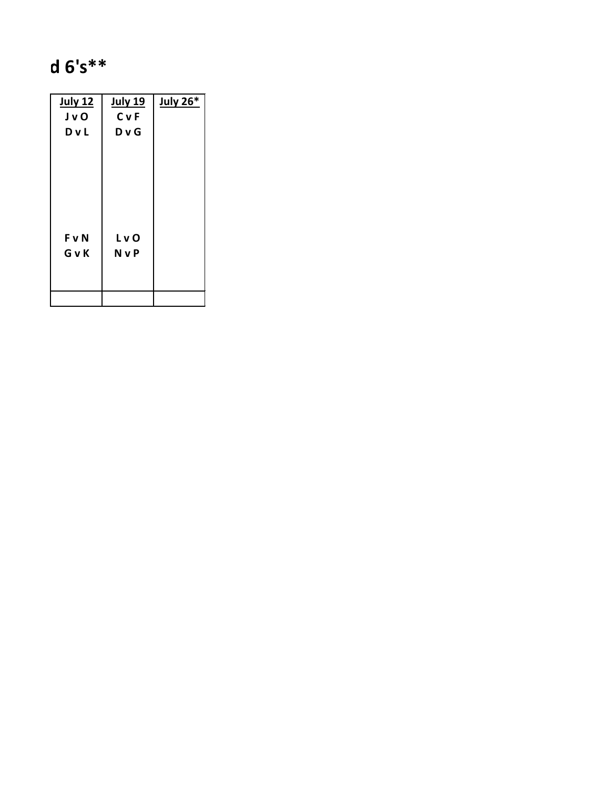## **2022 RiverPlex Tuesday Sand Volleyball Coed 6's\*\***

| <b>July 12</b> | <b>July 19</b> | July 26* |
|----------------|----------------|----------|
| JvO            | <b>C</b> v F   |          |
| <b>DvL</b>     | D v G          |          |
|                |                |          |
|                |                |          |
|                |                |          |
|                |                |          |
|                |                |          |
|                |                |          |
| F v N          | LvO            |          |
|                |                |          |
| GvK            | <b>NvP</b>     |          |
|                |                |          |
|                |                |          |
|                |                |          |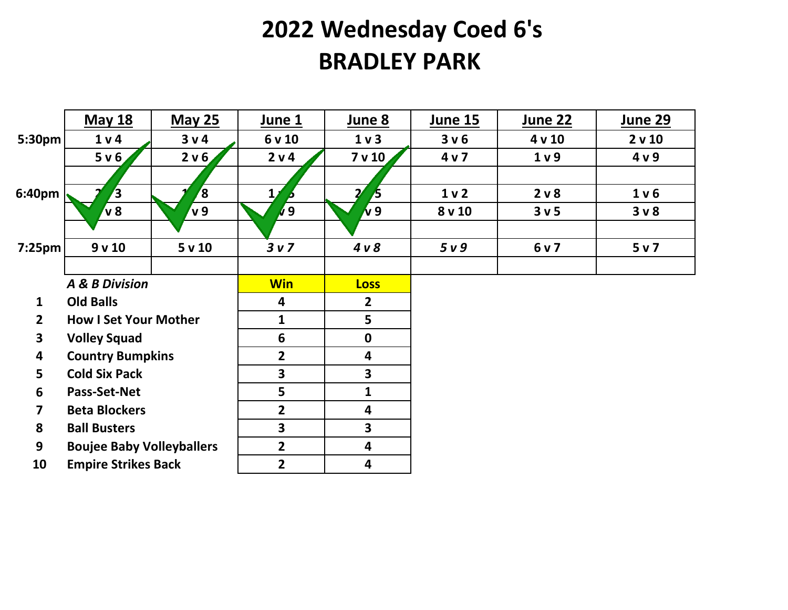# **2022 Wednesday Coed 6's BRADLEY PARK**

|                         | <b>May 18</b>                    | <b>May 25</b>    | June 1                  | June 8                  | June 15        | June 22          | June 29          |
|-------------------------|----------------------------------|------------------|-------------------------|-------------------------|----------------|------------------|------------------|
| 5:30pm                  | 1 <sub>v</sub>                   | 3v4              | 6 v 10                  | 1 <sub>v</sub>          | 3 v 6          | 4 v 10           | 2 v 10           |
|                         | 5 v 6                            | 2 v 6            | 2 v 4                   | 7 v 10                  | 4 v 7          | 1 <sub>v</sub> 9 | 4 v 9            |
|                         |                                  |                  |                         |                         |                |                  |                  |
| 6:40pm                  | $\overline{\mathbf{3}}$          | $\boldsymbol{8}$ |                         | /5                      | 1 <sub>v</sub> | 2 v 8            | 1 <sub>v</sub> 6 |
|                         | v <sub>8</sub>                   | v <sub>9</sub>   | $\sqrt{9}$              | $\mathbf{v}$ 9          | 8v10           | 3 <sub>v</sub> 5 | 3 <sub>v</sub>   |
|                         |                                  |                  |                         |                         |                |                  |                  |
| $7:25$ pm               | 9v10                             | 5v10             | 3 <sub>v</sub>          | 4 v 8                   | 5 v 9          | 6 v 7            | 5 v 7            |
|                         |                                  |                  |                         |                         |                |                  |                  |
|                         | A & B Division                   |                  | <b>Win</b>              | <b>Loss</b>             |                |                  |                  |
| $\mathbf{1}$            | <b>Old Balls</b>                 |                  | 4                       | $\overline{2}$          |                |                  |                  |
| $\overline{2}$          | <b>How I Set Your Mother</b>     |                  | 1                       | 5                       |                |                  |                  |
| $\overline{\mathbf{3}}$ | <b>Volley Squad</b>              |                  | 6                       | $\mathbf 0$             |                |                  |                  |
| 4                       | <b>Country Bumpkins</b>          |                  | $\overline{2}$          | $\overline{\mathbf{4}}$ |                |                  |                  |
| 5                       | <b>Cold Six Pack</b>             |                  | 3                       | $\mathbf{3}$            |                |                  |                  |
| 6                       | Pass-Set-Net                     |                  | 5                       | $\mathbf{1}$            |                |                  |                  |
| $\overline{\mathbf{z}}$ | <b>Beta Blockers</b>             |                  | $\overline{2}$          | $\overline{\mathbf{4}}$ |                |                  |                  |
| 8                       | <b>Ball Busters</b>              |                  | $\overline{\mathbf{3}}$ | $\overline{\mathbf{3}}$ |                |                  |                  |
| 9                       | <b>Boujee Baby Volleyballers</b> |                  | $\overline{2}$          | $\overline{\mathbf{4}}$ |                |                  |                  |
| 10                      | <b>Empire Strikes Back</b>       |                  | $\overline{2}$          | $\overline{\mathbf{4}}$ |                |                  |                  |